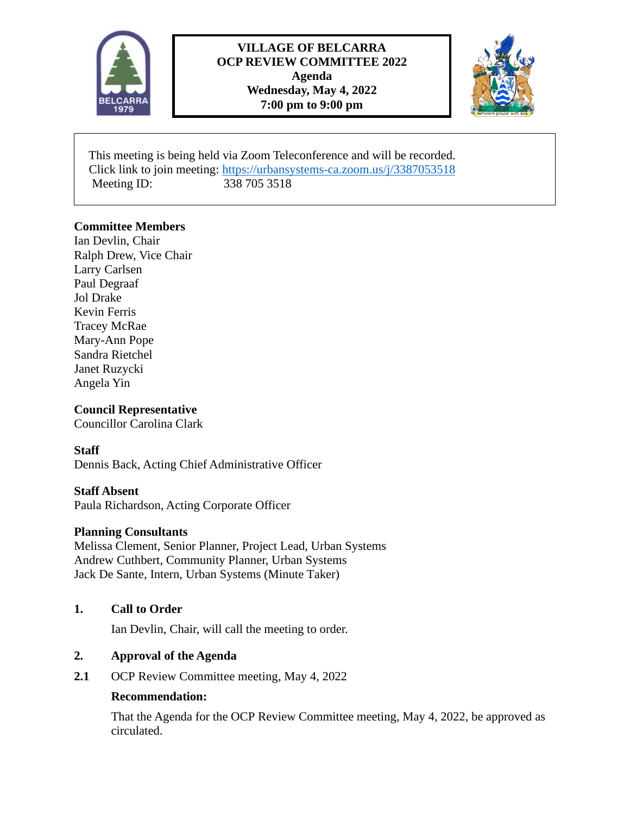

# **VILLAGE OF BELCARRA OCP REVIEW COMMITTEE 2022 Agenda Wednesday, May 4, 2022 7:00 pm to 9:00 pm**



 This meeting is being held via Zoom Teleconference and will be recorded. Click link to join meeting: [https://urbansystems-ca.zoom.us/j/3387053518](https://can01.safelinks.protection.outlook.com/?url=https%3A%2F%2Furbansystems-ca.zoom.us%2Fj%2F3387053518&data=05%7C01%7Cprichardson%40belcarra.ca%7Cee644b053b8e4d449c9f08da296792e6%7C3cd5afd687754485abc1dfcd802a6784%7C0%7C0%7C637867822067201537%7CUnknown%7CTWFpbGZsb3d8eyJWIjoiMC4wLjAwMDAiLCJQIjoiV2luMzIiLCJBTiI6Ik1haWwiLCJXVCI6Mn0%3D%7C3000%7C%7C%7C&sdata=CqnHclF5YyTd3rUgEHsxtAhOVgUph%2Fk9DAFn8TKEaPQ%3D&reserved=0) Meeting ID: 338 705 3518

# **Committee Members**

Ian Devlin, Chair Ralph Drew, Vice Chair Larry Carlsen Paul Degraaf Jol Drake Kevin Ferris Tracey McRae Mary-Ann Pope Sandra Rietchel Janet Ruzycki Angela Yin

### **Council Representative**

Councillor Carolina Clark

#### **Staff**

Dennis Back, Acting Chief Administrative Officer

#### **Staff Absent**

Paula Richardson, Acting Corporate Officer

#### **Planning Consultants**

Melissa Clement, Senior Planner, Project Lead, Urban Systems Andrew Cuthbert, Community Planner, Urban Systems Jack De Sante, Intern, Urban Systems (Minute Taker)

# **1. Call to Order**

Ian Devlin, Chair, will call the meeting to order.

#### **2. Approval of the Agenda**

**2.1** OCP Review Committee meeting, May 4, 2022

#### **Recommendation:**

That the Agenda for the OCP Review Committee meeting, May 4, 2022, be approved as circulated.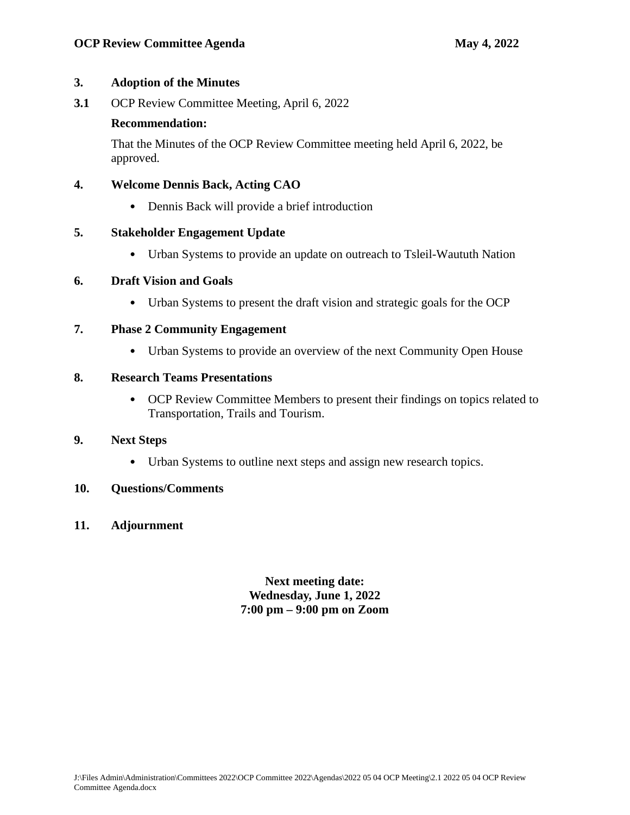### **3. Adoption of the Minutes**

**3.1** OCP Review Committee Meeting, April 6, 2022

# **Recommendation:**

That the Minutes of the OCP Review Committee meeting held April 6, 2022, be approved.

# **4. Welcome Dennis Back, Acting CAO**

• Dennis Back will provide a brief introduction

# **5. Stakeholder Engagement Update**

• Urban Systems to provide an update on outreach to Tsleil-Waututh Nation

# **6. Draft Vision and Goals**

• Urban Systems to present the draft vision and strategic goals for the OCP

# **7. Phase 2 Community Engagement**

• Urban Systems to provide an overview of the next Community Open House

# **8. Research Teams Presentations**

• OCP Review Committee Members to present their findings on topics related to Transportation, Trails and Tourism.

# **9. Next Steps**

• Urban Systems to outline next steps and assign new research topics.

# **10. Questions/Comments**

**11. Adjournment**

**Next meeting date: Wednesday, June 1, 2022 7:00 pm – 9:00 pm on Zoom**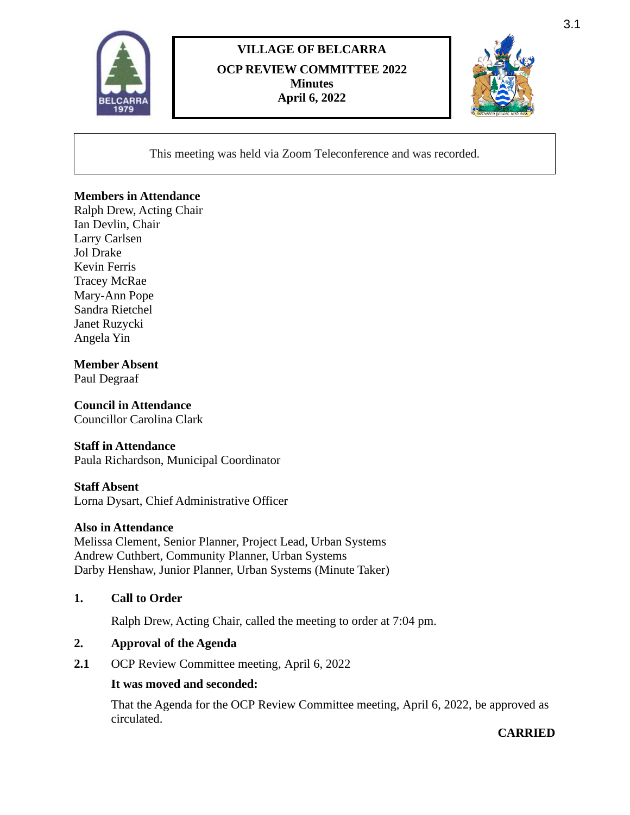

# **VILLAGE OF BELCARRA OCP REVIEW COMMITTEE 2022 Minutes April 6, 2022**



This meeting was held via Zoom Teleconference and was recorded.

### **Members in Attendance**

Ralph Drew, Acting Chair Ian Devlin, Chair Larry Carlsen Jol Drake Kevin Ferris Tracey McRae Mary-Ann Pope Sandra Rietchel Janet Ruzycki Angela Yin

# **Member Absent**

Paul Degraaf

# **Council in Attendance**

Councillor Carolina Clark

#### **Staff in Attendance**

Paula Richardson, Municipal Coordinator

#### **Staff Absent**

Lorna Dysart, Chief Administrative Officer

#### **Also in Attendance**

Melissa Clement, Senior Planner, Project Lead, Urban Systems Andrew Cuthbert, Community Planner, Urban Systems Darby Henshaw, Junior Planner, Urban Systems (Minute Taker)

#### **1. Call to Order**

Ralph Drew, Acting Chair, called the meeting to order at 7:04 pm.

#### **2. Approval of the Agenda**

2.1 OCP Review Committee meeting, April 6, 2022

#### **It was moved and seconded:**

That the Agenda for the OCP Review Committee meeting, April 6, 2022, be approved as circulated.

# **CARRIED**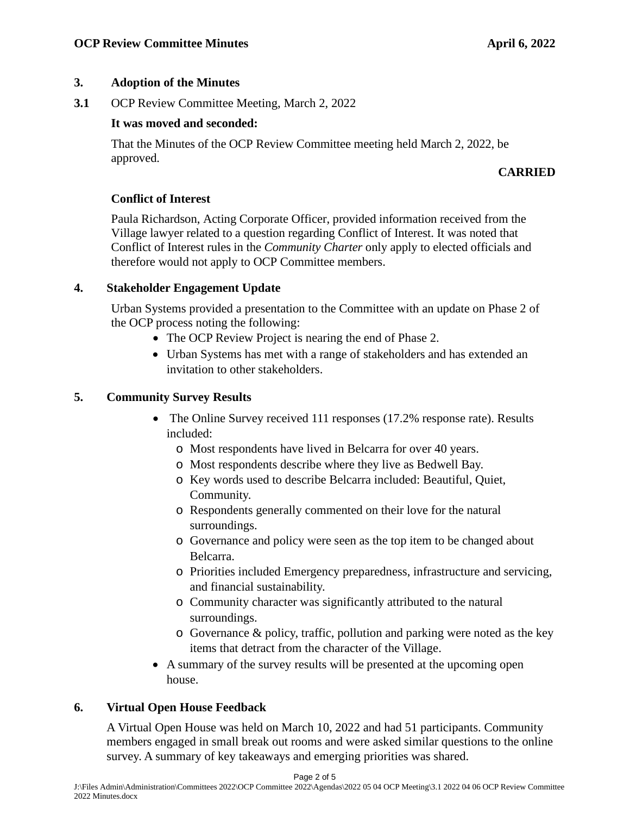# **3. Adoption of the Minutes**

**3.1** OCP Review Committee Meeting, March 2, 2022

# **It was moved and seconded:**

That the Minutes of the OCP Review Committee meeting held March 2, 2022, be approved.

# **CARRIED**

# **Conflict of Interest**

Paula Richardson, Acting Corporate Officer, provided information received from the Village lawyer related to a question regarding Conflict of Interest. It was noted that Conflict of Interest rules in the *Community Charter* only apply to elected officials and therefore would not apply to OCP Committee members.

# **4. Stakeholder Engagement Update**

Urban Systems provided a presentation to the Committee with an update on Phase 2 of the OCP process noting the following:

- The OCP Review Project is nearing the end of Phase 2.
- Urban Systems has met with a range of stakeholders and has extended an invitation to other stakeholders.

# **5. Community Survey Results**

- The Online Survey received 111 responses (17.2% response rate). Results included:
	- o Most respondents have lived in Belcarra for over 40 years.
	- o Most respondents describe where they live as Bedwell Bay.
	- o Key words used to describe Belcarra included: Beautiful, Quiet, Community.
	- o Respondents generally commented on their love for the natural surroundings.
	- o Governance and policy were seen as the top item to be changed about Belcarra.
	- o Priorities included Emergency preparedness, infrastructure and servicing, and financial sustainability.
	- o Community character was significantly attributed to the natural surroundings.
	- o Governance & policy, traffic, pollution and parking were noted as the key items that detract from the character of the Village.
- A summary of the survey results will be presented at the upcoming open house.

# **6. Virtual Open House Feedback**

A Virtual Open House was held on March 10, 2022 and had 51 participants. Community members engaged in small break out rooms and were asked similar questions to the online survey. A summary of key takeaways and emerging priorities was shared.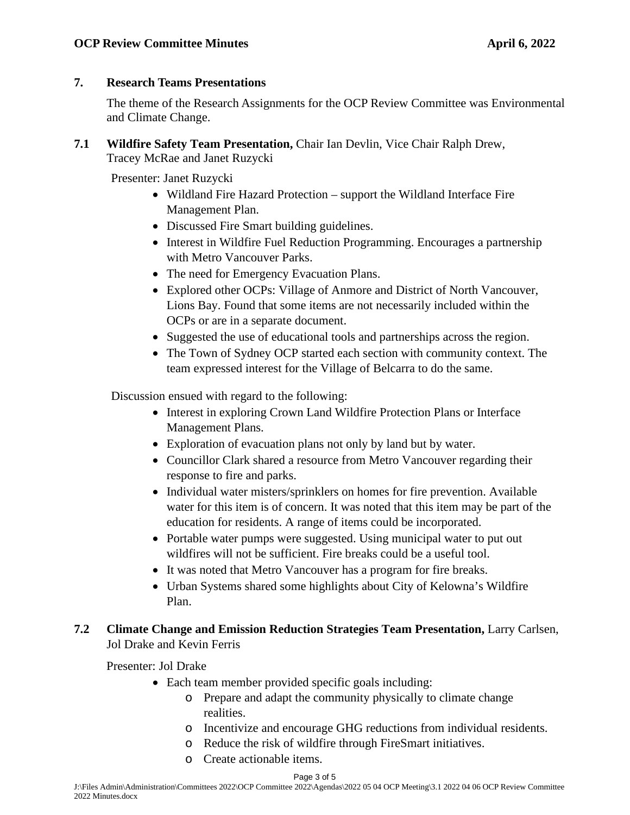# **7. Research Teams Presentations**

The theme of the Research Assignments for the OCP Review Committee was Environmental and Climate Change.

**7.1 Wildfire Safety Team Presentation,** Chair Ian Devlin, Vice Chair Ralph Drew, Tracey McRae and Janet Ruzycki

Presenter: Janet Ruzycki

- Wildland Fire Hazard Protection support the Wildland Interface Fire Management Plan.
- Discussed Fire Smart building guidelines.
- Interest in Wildfire Fuel Reduction Programming. Encourages a partnership with Metro Vancouver Parks.
- The need for Emergency Evacuation Plans.
- Explored other OCPs: Village of Anmore and District of North Vancouver, Lions Bay. Found that some items are not necessarily included within the OCPs or are in a separate document.
- Suggested the use of educational tools and partnerships across the region.
- The Town of Sydney OCP started each section with community context. The team expressed interest for the Village of Belcarra to do the same.

Discussion ensued with regard to the following:

- Interest in exploring Crown Land Wildfire Protection Plans or Interface Management Plans.
- Exploration of evacuation plans not only by land but by water.
- Councillor Clark shared a resource from Metro Vancouver regarding their response to fire and parks.
- Individual water misters/sprinklers on homes for fire prevention. Available water for this item is of concern. It was noted that this item may be part of the education for residents. A range of items could be incorporated.
- Portable water pumps were suggested. Using municipal water to put out wildfires will not be sufficient. Fire breaks could be a useful tool.
- It was noted that Metro Vancouver has a program for fire breaks.
- Urban Systems shared some highlights about City of Kelowna's Wildfire Plan.

# **7.2 Climate Change and Emission Reduction Strategies Team Presentation,** Larry Carlsen, Jol Drake and Kevin Ferris

Presenter: Jol Drake

- Each team member provided specific goals including:
	- o Prepare and adapt the community physically to climate change realities.
	- o Incentivize and encourage GHG reductions from individual residents.
	- o Reduce the risk of wildfire through FireSmart initiatives.
	- o Create actionable items.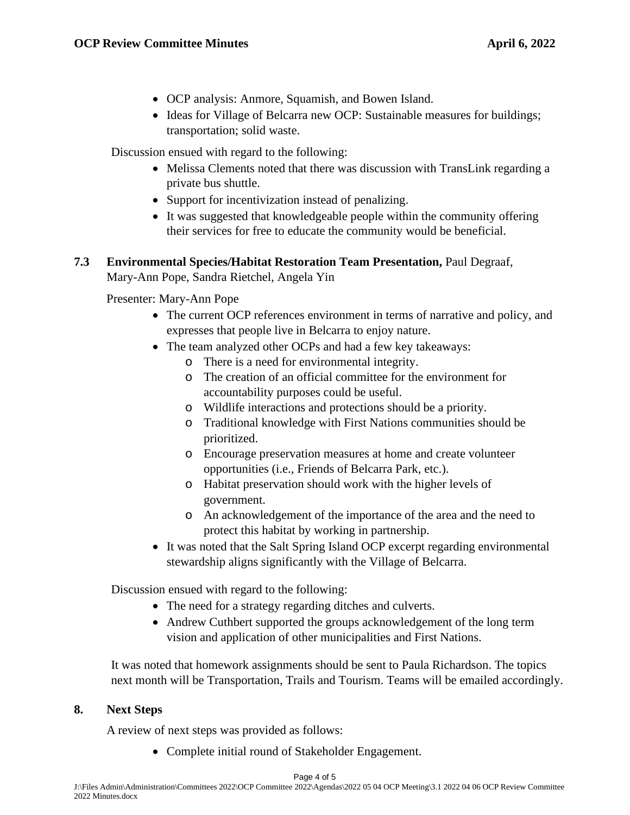- OCP analysis: Anmore, Squamish, and Bowen Island.
- Ideas for Village of Belcarra new OCP: Sustainable measures for buildings; transportation; solid waste.

Discussion ensued with regard to the following:

- Melissa Clements noted that there was discussion with TransLink regarding a private bus shuttle.
- Support for incentivization instead of penalizing.
- It was suggested that knowledgeable people within the community offering their services for free to educate the community would be beneficial.

# **7.3 Environmental Species/Habitat Restoration Team Presentation,** Paul Degraaf, Mary-Ann Pope, Sandra Rietchel, Angela Yin

Presenter: Mary-Ann Pope

- The current OCP references environment in terms of narrative and policy, and expresses that people live in Belcarra to enjoy nature.
- The team analyzed other OCPs and had a few key takeaways:
	- o There is a need for environmental integrity.
	- o The creation of an official committee for the environment for accountability purposes could be useful.
	- o Wildlife interactions and protections should be a priority.
	- o Traditional knowledge with First Nations communities should be prioritized.
	- o Encourage preservation measures at home and create volunteer opportunities (i.e., Friends of Belcarra Park, etc.).
	- o Habitat preservation should work with the higher levels of government.
	- o An acknowledgement of the importance of the area and the need to protect this habitat by working in partnership.
- It was noted that the Salt Spring Island OCP excerpt regarding environmental stewardship aligns significantly with the Village of Belcarra.

Discussion ensued with regard to the following:

- The need for a strategy regarding ditches and culverts.
- Andrew Cuthbert supported the groups acknowledgement of the long term vision and application of other municipalities and First Nations.

It was noted that homework assignments should be sent to Paula Richardson. The topics next month will be Transportation, Trails and Tourism. Teams will be emailed accordingly.

# **8. Next Steps**

A review of next steps was provided as follows:

• Complete initial round of Stakeholder Engagement.